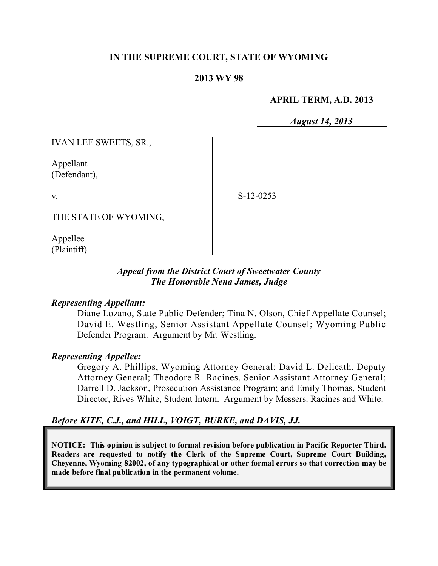### **IN THE SUPREME COURT, STATE OF WYOMING**

#### **2013 WY 98**

#### **APRIL TERM, A.D. 2013**

*August 14, 2013*

IVAN LEE SWEETS, SR.,

Appellant (Defendant),

v.

S-12-0253

THE STATE OF WYOMING,

Appellee (Plaintiff).

### *Appeal from the District Court of Sweetwater County The Honorable Nena James, Judge*

### *Representing Appellant:*

Diane Lozano, State Public Defender; Tina N. Olson, Chief Appellate Counsel; David E. Westling, Senior Assistant Appellate Counsel; Wyoming Public Defender Program. Argument by Mr. Westling.

#### *Representing Appellee:*

Gregory A. Phillips, Wyoming Attorney General; David L. Delicath, Deputy Attorney General; Theodore R. Racines, Senior Assistant Attorney General; Darrell D. Jackson, Prosecution Assistance Program; and Emily Thomas, Student Director; Rives White, Student Intern. Argument by Messers. Racines and White.

### *Before KITE, C.J., and HILL, VOIGT, BURKE, and DAVIS, JJ.*

**NOTICE: This opinion is subject to formal revision before publication in Pacific Reporter Third. Readers are requested to notify the Clerk of the Supreme Court, Supreme Court Building, Cheyenne, Wyoming 82002, of any typographical or other formal errors so that correction may be made before final publication in the permanent volume.**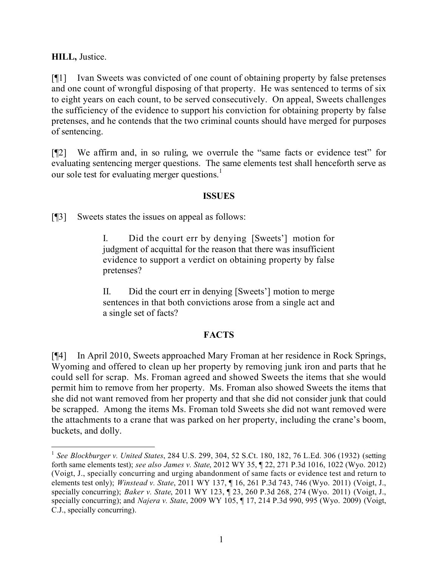**HILL,** Justice.

[¶1] Ivan Sweets was convicted of one count of obtaining property by false pretenses and one count of wrongful disposing of that property. He was sentenced to terms of six to eight years on each count, to be served consecutively. On appeal, Sweets challenges the sufficiency of the evidence to support his conviction for obtaining property by false pretenses, and he contends that the two criminal counts should have merged for purposes of sentencing.

[¶2] We affirm and, in so ruling, we overrule the "same facts or evidence test" for evaluating sentencing merger questions. The same elements test shall henceforth serve as our sole test for evaluating merger questions. 1

### **ISSUES**

[¶3] Sweets states the issues on appeal as follows:

 $\overline{a}$ 

I. Did the court err by denying [Sweets'] motion for judgment of acquittal for the reason that there was insufficient evidence to support a verdict on obtaining property by false pretenses?

II. Did the court err in denying [Sweets'] motion to merge sentences in that both convictions arose from a single act and a single set of facts?

### **FACTS**

[¶4] In April 2010, Sweets approached Mary Froman at her residence in Rock Springs, Wyoming and offered to clean up her property by removing junk iron and parts that he could sell for scrap. Ms. Froman agreed and showed Sweets the items that she would permit him to remove from her property. Ms. Froman also showed Sweets the items that she did not want removed from her property and that she did not consider junk that could be scrapped. Among the items Ms. Froman told Sweets she did not want removed were the attachments to a crane that was parked on her property, including the crane's boom, buckets, and dolly.

<sup>1</sup> *See Blockburger v. United States*, 284 U.S. 299, 304, 52 S.Ct. 180, 182, 76 L.Ed. 306 (1932) (setting forth same elements test); *see also James v. State*, 2012 WY 35, ¶ 22, 271 P.3d 1016, 1022 (Wyo. 2012) (Voigt, J., specially concurring and urging abandonment of same facts or evidence test and return to elements test only); *Winstead v. State*, 2011 WY 137, ¶ 16, 261 P.3d 743, 746 (Wyo. 2011) (Voigt, J., specially concurring); *Baker v. State*, 2011 WY 123, ¶ 23, 260 P.3d 268, 274 (Wyo. 2011) (Voigt, J., specially concurring); and *Najera v. State*, 2009 WY 105, ¶ 17, 214 P.3d 990, 995 (Wyo. 2009) (Voigt, C.J., specially concurring).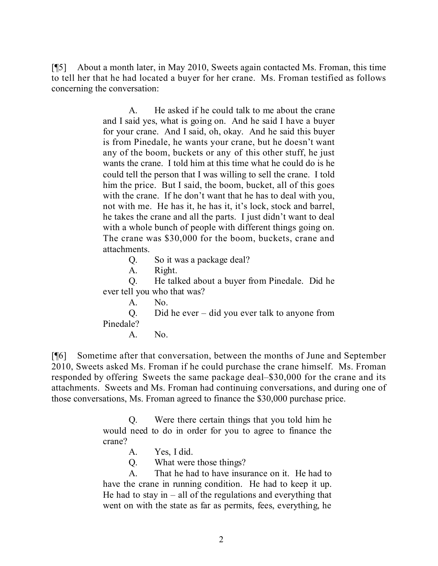[¶5] About a month later, in May 2010, Sweets again contacted Ms. Froman, this time to tell her that he had located a buyer for her crane. Ms. Froman testified as follows concerning the conversation:

> A. He asked if he could talk to me about the crane and I said yes, what is going on. And he said I have a buyer for your crane. And I said, oh, okay. And he said this buyer is from Pinedale, he wants your crane, but he doesn't want any of the boom, buckets or any of this other stuff, he just wants the crane. I told him at this time what he could do is he could tell the person that I was willing to sell the crane. I told him the price. But I said, the boom, bucket, all of this goes with the crane. If he don't want that he has to deal with you, not with me. He has it, he has it, it's lock, stock and barrel, he takes the crane and all the parts. I just didn't want to deal with a whole bunch of people with different things going on. The crane was \$30,000 for the boom, buckets, crane and attachments.

> > Q. So it was a package deal?

A. Right.

Q. He talked about a buyer from Pinedale. Did he ever tell you who that was?

A. No.

Q. Did he ever – did you ever talk to anyone from Pinedale?

A. No.

[¶6] Sometime after that conversation, between the months of June and September 2010, Sweets asked Ms. Froman if he could purchase the crane himself. Ms. Froman responded by offering Sweets the same package deal–\$30,000 for the crane and its attachments. Sweets and Ms. Froman had continuing conversations, and during one of those conversations, Ms. Froman agreed to finance the \$30,000 purchase price.

> Q. Were there certain things that you told him he would need to do in order for you to agree to finance the crane?

> > A. Yes, I did.

Q. What were those things?

A. That he had to have insurance on it. He had to have the crane in running condition. He had to keep it up. He had to stay in  $-$  all of the regulations and everything that went on with the state as far as permits, fees, everything, he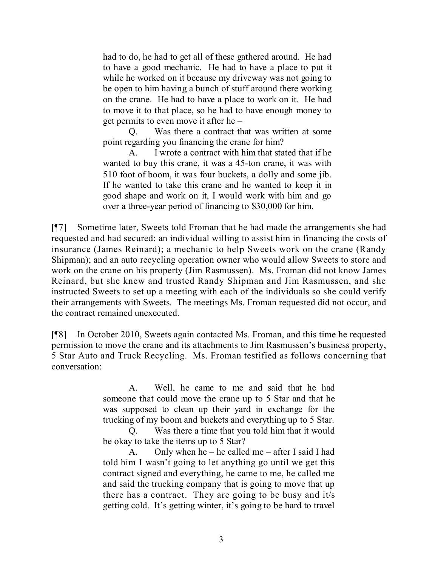had to do, he had to get all of these gathered around. He had to have a good mechanic. He had to have a place to put it while he worked on it because my driveway was not going to be open to him having a bunch of stuff around there working on the crane. He had to have a place to work on it. He had to move it to that place, so he had to have enough money to get permits to even move it after he –

Q. Was there a contract that was written at some point regarding you financing the crane for him?

A. I wrote a contract with him that stated that if he wanted to buy this crane, it was a 45-ton crane, it was with 510 foot of boom, it was four buckets, a dolly and some jib. If he wanted to take this crane and he wanted to keep it in good shape and work on it, I would work with him and go over a three-year period of financing to \$30,000 for him.

[¶7] Sometime later, Sweets told Froman that he had made the arrangements she had requested and had secured: an individual willing to assist him in financing the costs of insurance (James Reinard); a mechanic to help Sweets work on the crane (Randy Shipman); and an auto recycling operation owner who would allow Sweets to store and work on the crane on his property (Jim Rasmussen). Ms. Froman did not know James Reinard, but she knew and trusted Randy Shipman and Jim Rasmussen, and she instructed Sweets to set up a meeting with each of the individuals so she could verify their arrangements with Sweets. The meetings Ms. Froman requested did not occur, and the contract remained unexecuted.

[¶8] In October 2010, Sweets again contacted Ms. Froman, and this time he requested permission to move the crane and its attachments to Jim Rasmussen's business property, 5 Star Auto and Truck Recycling. Ms. Froman testified as follows concerning that conversation:

> A. Well, he came to me and said that he had someone that could move the crane up to 5 Star and that he was supposed to clean up their yard in exchange for the trucking of my boom and buckets and everything up to 5 Star.

> Q. Was there a time that you told him that it would be okay to take the items up to 5 Star?

> A. Only when he – he called me – after I said I had told him I wasn't going to let anything go until we get this contract signed and everything, he came to me, he called me and said the trucking company that is going to move that up there has a contract. They are going to be busy and it/s getting cold. It's getting winter, it's going to be hard to travel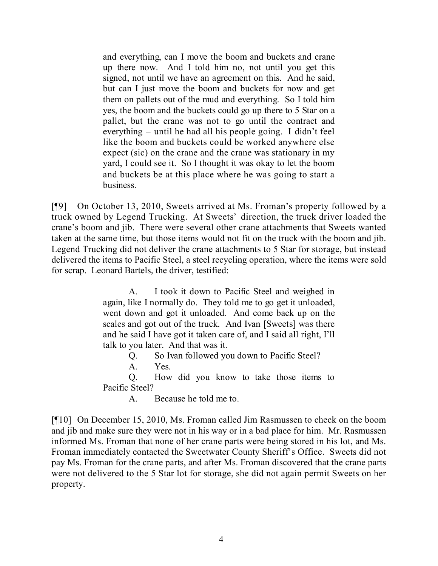and everything, can I move the boom and buckets and crane up there now. And I told him no, not until you get this signed, not until we have an agreement on this. And he said, but can I just move the boom and buckets for now and get them on pallets out of the mud and everything. So I told him yes, the boom and the buckets could go up there to 5 Star on a pallet, but the crane was not to go until the contract and everything – until he had all his people going. I didn't feel like the boom and buckets could be worked anywhere else expect (sic) on the crane and the crane was stationary in my yard, I could see it. So I thought it was okay to let the boom and buckets be at this place where he was going to start a business.

[¶9] On October 13, 2010, Sweets arrived at Ms. Froman's property followed by a truck owned by Legend Trucking. At Sweets' direction, the truck driver loaded the crane's boom and jib. There were several other crane attachments that Sweets wanted taken at the same time, but those items would not fit on the truck with the boom and jib. Legend Trucking did not deliver the crane attachments to 5 Star for storage, but instead delivered the items to Pacific Steel, a steel recycling operation, where the items were sold for scrap. Leonard Bartels, the driver, testified:

> A. I took it down to Pacific Steel and weighed in again, like I normally do. They told me to go get it unloaded, went down and got it unloaded. And come back up on the scales and got out of the truck. And Ivan [Sweets] was there and he said I have got it taken care of, and I said all right, I'll talk to you later. And that was it.

Q. So Ivan followed you down to Pacific Steel?

A. Yes.

Q. How did you know to take those items to Pacific Steel?

A. Because he told me to.

[¶10] On December 15, 2010, Ms. Froman called Jim Rasmussen to check on the boom and jib and make sure they were not in his way or in a bad place for him. Mr. Rasmussen informed Ms. Froman that none of her crane parts were being stored in his lot, and Ms. Froman immediately contacted the Sweetwater County Sheriff's Office. Sweets did not pay Ms. Froman for the crane parts, and after Ms. Froman discovered that the crane parts were not delivered to the 5 Star lot for storage, she did not again permit Sweets on her property.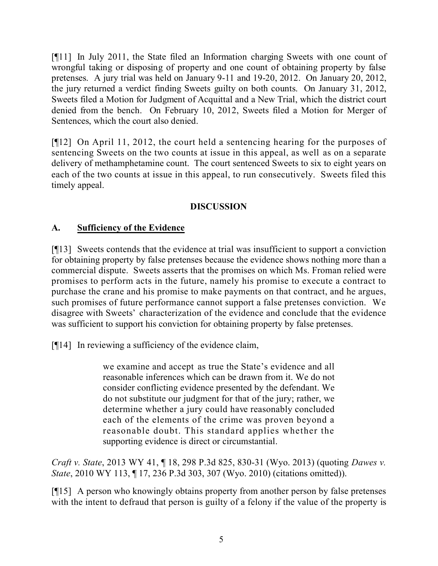[¶11] In July 2011, the State filed an Information charging Sweets with one count of wrongful taking or disposing of property and one count of obtaining property by false pretenses. A jury trial was held on January 9-11 and 19-20, 2012. On January 20, 2012, the jury returned a verdict finding Sweets guilty on both counts. On January 31, 2012, Sweets filed a Motion for Judgment of Acquittal and a New Trial, which the district court denied from the bench. On February 10, 2012, Sweets filed a Motion for Merger of Sentences, which the court also denied.

[¶12] On April 11, 2012, the court held a sentencing hearing for the purposes of sentencing Sweets on the two counts at issue in this appeal, as well as on a separate delivery of methamphetamine count. The court sentenced Sweets to six to eight years on each of the two counts at issue in this appeal, to run consecutively. Sweets filed this timely appeal.

# **DISCUSSION**

# **A. Sufficiency of the Evidence**

[¶13] Sweets contends that the evidence at trial was insufficient to support a conviction for obtaining property by false pretenses because the evidence shows nothing more than a commercial dispute. Sweets asserts that the promises on which Ms. Froman relied were promises to perform acts in the future, namely his promise to execute a contract to purchase the crane and his promise to make payments on that contract, and he argues, such promises of future performance cannot support a false pretenses conviction. We disagree with Sweets' characterization of the evidence and conclude that the evidence was sufficient to support his conviction for obtaining property by false pretenses.

[¶14] In reviewing a sufficiency of the evidence claim,

we examine and accept as true the State's evidence and all reasonable inferences which can be drawn from it. We do not consider conflicting evidence presented by the defendant. We do not substitute our judgment for that of the jury; rather, we determine whether a jury could have reasonably concluded each of the elements of the crime was proven beyond a reasonable doubt. This standard applies whether the supporting evidence is direct or circumstantial.

*Craft v. State*, 2013 WY 41, ¶ 18, 298 P.3d 825, 830-31 (Wyo. 2013) (quoting *Dawes v. State*, 2010 WY 113, ¶ 17, 236 P.3d 303, 307 (Wyo. 2010) (citations omitted)).

[¶15] A person who knowingly obtains property from another person by false pretenses with the intent to defraud that person is guilty of a felony if the value of the property is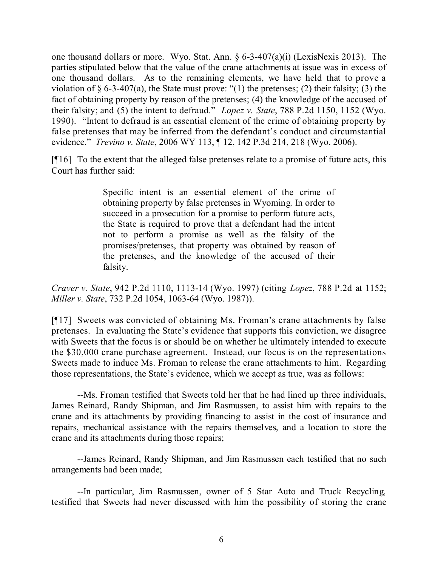one thousand dollars or more. Wyo. Stat. Ann. § 6-3-407(a)(i) (LexisNexis 2013). The parties stipulated below that the value of the crane attachments at issue was in excess of one thousand dollars. As to the remaining elements, we have held that to prove a violation of  $\S$  6-3-407(a), the State must prove: "(1) the pretenses; (2) their falsity; (3) the fact of obtaining property by reason of the pretenses; (4) the knowledge of the accused of their falsity; and (5) the intent to defraud." *Lopez v. State*, 788 P.2d 1150, 1152 (Wyo. 1990). "Intent to defraud is an essential element of the crime of obtaining property by false pretenses that may be inferred from the defendant's conduct and circumstantial evidence." *Trevino v. State*, 2006 WY 113, ¶ 12, 142 P.3d 214, 218 (Wyo. 2006).

[¶16] To the extent that the alleged false pretenses relate to a promise of future acts, this Court has further said:

> Specific intent is an essential element of the crime of obtaining property by false pretenses in Wyoming. In order to succeed in a prosecution for a promise to perform future acts, the State is required to prove that a defendant had the intent not to perform a promise as well as the falsity of the promises/pretenses, that property was obtained by reason of the pretenses, and the knowledge of the accused of their falsity.

*Craver v. State*, 942 P.2d 1110, 1113-14 (Wyo. 1997) (citing *Lopez*, 788 P.2d at 1152; *Miller v. State*, 732 P.2d 1054, 1063-64 (Wyo. 1987)).

[¶17] Sweets was convicted of obtaining Ms. Froman's crane attachments by false pretenses. In evaluating the State's evidence that supports this conviction, we disagree with Sweets that the focus is or should be on whether he ultimately intended to execute the \$30,000 crane purchase agreement. Instead, our focus is on the representations Sweets made to induce Ms. Froman to release the crane attachments to him. Regarding those representations, the State's evidence, which we accept as true, was as follows:

--Ms. Froman testified that Sweets told her that he had lined up three individuals, James Reinard, Randy Shipman, and Jim Rasmussen, to assist him with repairs to the crane and its attachments by providing financing to assist in the cost of insurance and repairs, mechanical assistance with the repairs themselves, and a location to store the crane and its attachments during those repairs;

--James Reinard, Randy Shipman, and Jim Rasmussen each testified that no such arrangements had been made;

--In particular, Jim Rasmussen, owner of 5 Star Auto and Truck Recycling, testified that Sweets had never discussed with him the possibility of storing the crane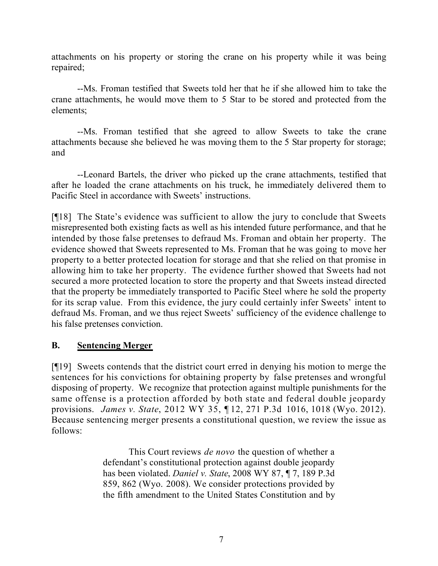attachments on his property or storing the crane on his property while it was being repaired;

--Ms. Froman testified that Sweets told her that he if she allowed him to take the crane attachments, he would move them to 5 Star to be stored and protected from the elements;

--Ms. Froman testified that she agreed to allow Sweets to take the crane attachments because she believed he was moving them to the 5 Star property for storage; and

--Leonard Bartels, the driver who picked up the crane attachments, testified that after he loaded the crane attachments on his truck, he immediately delivered them to Pacific Steel in accordance with Sweets' instructions.

[¶18] The State's evidence was sufficient to allow the jury to conclude that Sweets misrepresented both existing facts as well as his intended future performance, and that he intended by those false pretenses to defraud Ms. Froman and obtain her property. The evidence showed that Sweets represented to Ms. Froman that he was going to move her property to a better protected location for storage and that she relied on that promise in allowing him to take her property. The evidence further showed that Sweets had not secured a more protected location to store the property and that Sweets instead directed that the property be immediately transported to Pacific Steel where he sold the property for its scrap value. From this evidence, the jury could certainly infer Sweets' intent to defraud Ms. Froman, and we thus reject Sweets' sufficiency of the evidence challenge to his false pretenses conviction.

# **B. Sentencing Merger**

[¶19] Sweets contends that the district court erred in denying his motion to merge the sentences for his convictions for obtaining property by false pretenses and wrongful disposing of property. We recognize that protection against multiple punishments for the same offense is a protection afforded by both state and federal double jeopardy provisions. *James v. State*, 2012 WY 35, ¶ 12, 271 P.3d 1016, 1018 (Wyo. 2012). Because sentencing merger presents a constitutional question, we review the issue as follows:

> This Court reviews *de novo* the question of whether a defendant's constitutional protection against double jeopardy has been violated. *Daniel v. State*, 2008 WY 87, ¶ 7, 189 P.3d 859, 862 (Wyo. 2008). We consider protections provided by the fifth amendment to the United States Constitution and by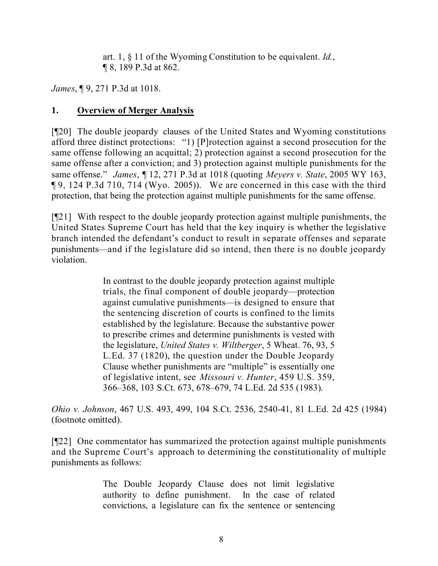art. 1, § 11 of the Wyoming Constitution to be equivalent. *Id.*, ¶ 8, 189 P.3d at 862.

*James*, ¶ 9, 271 P.3d at 1018.

# **1. Overview of Merger Analysis**

[¶20] The double jeopardy clauses of the United States and Wyoming constitutions afford three distinct protections: "1) [P]rotection against a second prosecution for the same offense following an acquittal; 2) protection against a second prosecution for the same offense after a conviction; and 3) protection against multiple punishments for the same offense." *James*, ¶ 12, 271 P.3d at 1018 (quoting *Meyers v. State*, 2005 WY 163, ¶ 9, 124 P.3d 710, 714 (Wyo. 2005)). We are concerned in this case with the third protection, that being the protection against multiple punishments for the same offense.

[¶21] With respect to the double jeopardy protection against multiple punishments, the United States Supreme Court has held that the key inquiry is whether the legislative branch intended the defendant's conduct to result in separate offenses and separate punishments—and if the legislature did so intend, then there is no double jeopardy violation.

> In contrast to the double jeopardy protection against multiple trials, the final component of double jeopardy—protection against cumulative punishments—is designed to ensure that the sentencing discretion of courts is confined to the limits established by the legislature. Because the substantive power to prescribe crimes and determine punishments is vested with the legislature, *United States v. Wiltberger*, 5 Wheat. 76, 93, 5 L.Ed. 37 (1820), the question under the Double Jeopardy Clause whether punishments are "multiple" is essentially one of legislative intent, see *Missouri v. Hunter*, 459 U.S. 359, 366–368, 103 S.Ct. 673, 678–679, 74 L.Ed. 2d 535 (1983).

*Ohio v. Johnson*, 467 U.S. 493, 499, 104 S.Ct. 2536, 2540-41, 81 L.Ed. 2d 425 (1984) (footnote omitted).

[¶22] One commentator has summarized the protection against multiple punishments and the Supreme Court's approach to determining the constitutionality of multiple punishments as follows:

> The Double Jeopardy Clause does not limit legislative authority to define punishment. In the case of related convictions, a legislature can fix the sentence or sentencing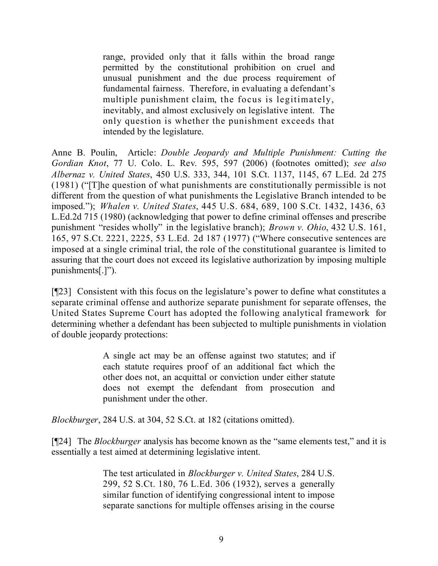range, provided only that it falls within the broad range permitted by the constitutional prohibition on cruel and unusual punishment and the due process requirement of fundamental fairness. Therefore, in evaluating a defendant's multiple punishment claim, the focus is legitimately, inevitably, and almost exclusively on legislative intent. The only question is whether the punishment exceeds that intended by the legislature.

Anne B. Poulin, Article: *Double Jeopardy and Multiple Punishment: Cutting the Gordian Knot*, 77 U. Colo. L. Rev. 595, 597 (2006) (footnotes omitted); *see also Albernaz v. United States*, 450 U.S. 333, 344, 101 S.Ct. 1137, 1145, 67 L.Ed. 2d 275 (1981) ("[T]he question of what punishments are constitutionally permissible is not different from the question of what punishments the Legislative Branch intended to be imposed."); *Whalen v. United States*, 445 U.S. 684, 689, 100 S.Ct. 1432, 1436, 63 L.Ed.2d 715 (1980) (acknowledging that power to define criminal offenses and prescribe punishment "resides wholly" in the legislative branch); *Brown v. Ohio*, 432 U.S. 161, 165, 97 S.Ct. 2221, 2225, 53 L.Ed. 2d 187 (1977) ("Where consecutive sentences are imposed at a single criminal trial, the role of the constitutional guarantee is limited to assuring that the court does not exceed its legislative authorization by imposing multiple punishments[.]").

[¶23] Consistent with this focus on the legislature's power to define what constitutes a separate criminal offense and authorize separate punishment for separate offenses, the United States Supreme Court has adopted the following analytical framework for determining whether a defendant has been subjected to multiple punishments in violation of double jeopardy protections:

> A single act may be an offense against two statutes; and if each statute requires proof of an additional fact which the other does not, an acquittal or conviction under either statute does not exempt the defendant from prosecution and punishment under the other.

*Blockburger*, 284 U.S. at 304, 52 S.Ct. at 182 (citations omitted).

[¶24] The *Blockburger* analysis has become known as the "same elements test," and it is essentially a test aimed at determining legislative intent.

> The test articulated in *Blockburger v. United States*, 284 U.S. 299, 52 S.Ct. 180, 76 L.Ed. 306 (1932), serves a generally similar function of identifying congressional intent to impose separate sanctions for multiple offenses arising in the course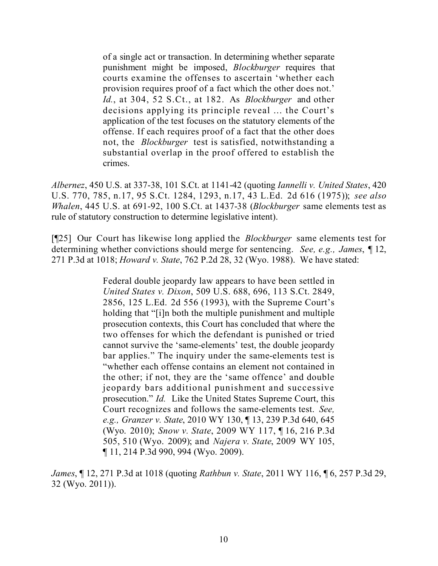of a single act or transaction. In determining whether separate punishment might be imposed, *Blockburger* requires that courts examine the offenses to ascertain 'whether each provision requires proof of a fact which the other does not.' *Id.*, at 304, 52 S.Ct., at 182. As *Blockburger* and other decisions applying its principle reveal ... the Court's application of the test focuses on the statutory elements of the offense. If each requires proof of a fact that the other does not, the *Blockburger* test is satisfied, notwithstanding a substantial overlap in the proof offered to establish the crimes.

*Albernez*, 450 U.S. at 337-38, 101 S.Ct. at 1141-42 (quoting *Iannelli v. United States*, 420 U.S. 770, 785, n.17, 95 S.Ct. 1284, 1293, n.17, 43 L.Ed. 2d 616 (1975)); *see also Whalen*, 445 U.S. at 691-92, 100 S.Ct. at 1437-38 (*Blockburger* same elements test as rule of statutory construction to determine legislative intent).

[¶25] Our Court has likewise long applied the *Blockburger* same elements test for determining whether convictions should merge for sentencing. *See, e.g., James*, ¶ 12, 271 P.3d at 1018; *Howard v. State*, 762 P.2d 28, 32 (Wyo. 1988). We have stated:

> Federal double jeopardy law appears to have been settled in *United States v. Dixon*, 509 U.S. 688, 696, 113 S.Ct. 2849, 2856, 125 L.Ed. 2d 556 (1993), with the Supreme Court's holding that "[i]n both the multiple punishment and multiple prosecution contexts, this Court has concluded that where the two offenses for which the defendant is punished or tried cannot survive the 'same-elements' test, the double jeopardy bar applies." The inquiry under the same-elements test is "whether each offense contains an element not contained in the other; if not, they are the 'same offence' and double jeopardy bars additional punishment and successive prosecution." *Id.* Like the United States Supreme Court, this Court recognizes and follows the same-elements test. *See, e.g., Granzer v. State*, 2010 WY 130, ¶ 13, 239 P.3d 640, 645 (Wyo. 2010); *Snow v. State*, 2009 WY 117, ¶ 16, 216 P.3d 505, 510 (Wyo. 2009); and *Najera v. State*, 2009 WY 105, ¶ 11, 214 P.3d 990, 994 (Wyo. 2009).

*James*, ¶ 12, 271 P.3d at 1018 (quoting *Rathbun v. State*, 2011 WY 116, ¶ 6, 257 P.3d 29, 32 (Wyo. 2011)).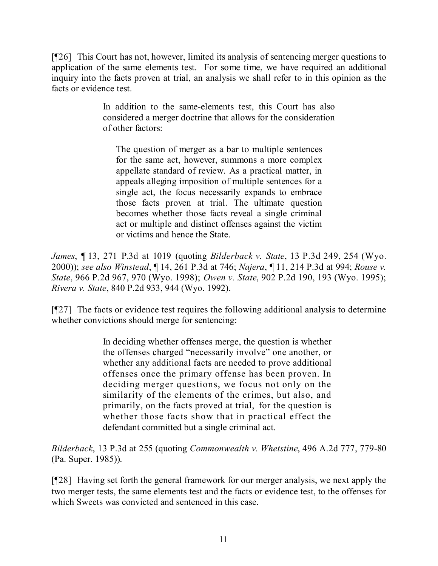[¶26] This Court has not, however, limited its analysis of sentencing merger questions to application of the same elements test. For some time, we have required an additional inquiry into the facts proven at trial, an analysis we shall refer to in this opinion as the facts or evidence test.

> In addition to the same-elements test, this Court has also considered a merger doctrine that allows for the consideration of other factors:

The question of merger as a bar to multiple sentences for the same act, however, summons a more complex appellate standard of review. As a practical matter, in appeals alleging imposition of multiple sentences for a single act, the focus necessarily expands to embrace those facts proven at trial. The ultimate question becomes whether those facts reveal a single criminal act or multiple and distinct offenses against the victim or victims and hence the State.

*James*, ¶ 13, 271 P.3d at 1019 (quoting *Bilderback v. State*, 13 P.3d 249, 254 (Wyo. 2000)); *see also Winstead*, ¶ 14, 261 P.3d at 746; *Najera*, ¶ 11, 214 P.3d at 994; *Rouse v. State*, 966 P.2d 967, 970 (Wyo. 1998); *Owen v. State*, 902 P.2d 190, 193 (Wyo. 1995); *Rivera v. State*, 840 P.2d 933, 944 (Wyo. 1992).

[¶27] The facts or evidence test requires the following additional analysis to determine whether convictions should merge for sentencing:

> In deciding whether offenses merge, the question is whether the offenses charged "necessarily involve" one another, or whether any additional facts are needed to prove additional offenses once the primary offense has been proven. In deciding merger questions, we focus not only on the similarity of the elements of the crimes, but also, and primarily, on the facts proved at trial, for the question is whether those facts show that in practical effect the defendant committed but a single criminal act.

*Bilderback*, 13 P.3d at 255 (quoting *Commonwealth v. Whetstine*, 496 A.2d 777, 779-80 (Pa. Super. 1985)).

[¶28] Having set forth the general framework for our merger analysis, we next apply the two merger tests, the same elements test and the facts or evidence test, to the offenses for which Sweets was convicted and sentenced in this case.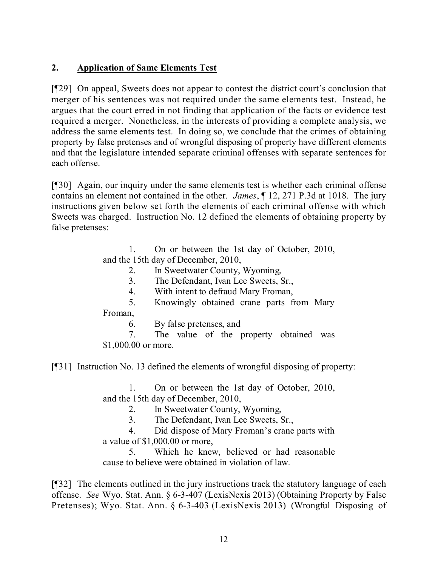# **2. Application of Same Elements Test**

[¶29] On appeal, Sweets does not appear to contest the district court's conclusion that merger of his sentences was not required under the same elements test. Instead, he argues that the court erred in not finding that application of the facts or evidence test required a merger. Nonetheless, in the interests of providing a complete analysis, we address the same elements test. In doing so, we conclude that the crimes of obtaining property by false pretenses and of wrongful disposing of property have different elements and that the legislature intended separate criminal offenses with separate sentences for each offense.

[¶30] Again, our inquiry under the same elements test is whether each criminal offense contains an element not contained in the other. *James*, ¶ 12, 271 P.3d at 1018. The jury instructions given below set forth the elements of each criminal offense with which Sweets was charged. Instruction No. 12 defined the elements of obtaining property by false pretenses:

> 1. On or between the 1st day of October, 2010, and the 15th day of December, 2010,

- 2. In Sweetwater County, Wyoming,
- 3. The Defendant, Ivan Lee Sweets, Sr.,
- 4. With intent to defraud Mary Froman,

5. Knowingly obtained crane parts from Mary

Froman,

6. By false pretenses, and

7. The value of the property obtained was \$1,000.00 or more.

[¶31] Instruction No. 13 defined the elements of wrongful disposing of property:

1. On or between the 1st day of October, 2010, and the 15th day of December, 2010,

2. In Sweetwater County, Wyoming,

3. The Defendant, Ivan Lee Sweets, Sr.,

4. Did dispose of Mary Froman's crane parts with a value of \$1,000.00 or more,

5. Which he knew, believed or had reasonable cause to believe were obtained in violation of law.

[¶32] The elements outlined in the jury instructions track the statutory language of each offense. *See* Wyo. Stat. Ann. § 6-3-407 (LexisNexis 2013) (Obtaining Property by False Pretenses); Wyo. Stat. Ann. § 6-3-403 (LexisNexis 2013) (Wrongful Disposing of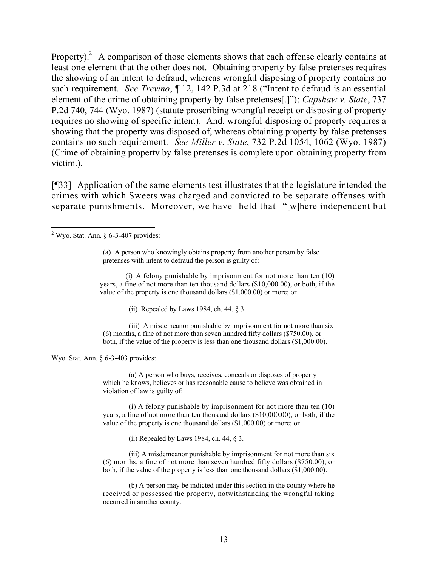Property).<sup>2</sup> A comparison of those elements shows that each offense clearly contains at least one element that the other does not. Obtaining property by false pretenses requires the showing of an intent to defraud, whereas wrongful disposing of property contains no such requirement. *See Trevino*, ¶ 12, 142 P.3d at 218 ("Intent to defraud is an essential element of the crime of obtaining property by false pretenses[.]"); *Capshaw v. State*, 737 P.2d 740, 744 (Wyo. 1987) (statute proscribing wrongful receipt or disposing of property requires no showing of specific intent). And, wrongful disposing of property requires a showing that the property was disposed of, whereas obtaining property by false pretenses contains no such requirement. *See Miller v. State*, 732 P.2d 1054, 1062 (Wyo. 1987) (Crime of obtaining property by false pretenses is complete upon obtaining property from victim.).

[¶33] Application of the same elements test illustrates that the legislature intended the crimes with which Sweets was charged and convicted to be separate offenses with separate punishments. Moreover, we have held that "[w]here independent but

(ii) Repealed by Laws 1984, ch. 44,  $\S$  3.

(iii) A misdemeanor punishable by imprisonment for not more than six (6) months, a fine of not more than seven hundred fifty dollars (\$750.00), or both, if the value of the property is less than one thousand dollars (\$1,000.00).

Wyo. Stat. Ann. § 6-3-403 provides:

(a) A person who buys, receives, conceals or disposes of property which he knows, believes or has reasonable cause to believe was obtained in violation of law is guilty of:

(i) A felony punishable by imprisonment for not more than ten (10) years, a fine of not more than ten thousand dollars (\$10,000.00), or both, if the value of the property is one thousand dollars (\$1,000.00) or more; or

(ii) Repealed by Laws 1984, ch. 44, § 3.

(iii) A misdemeanor punishable by imprisonment for not more than six (6) months, a fine of not more than seven hundred fifty dollars (\$750.00), or both, if the value of the property is less than one thousand dollars (\$1,000.00).

(b) A person may be indicted under this section in the county where he received or possessed the property, notwithstanding the wrongful taking occurred in another county.

 $\overline{a}$  $2$  Wyo. Stat. Ann. § 6-3-407 provides:

<sup>(</sup>a) A person who knowingly obtains property from another person by false pretenses with intent to defraud the person is guilty of:

<sup>(</sup>i) A felony punishable by imprisonment for not more than ten (10) years, a fine of not more than ten thousand dollars (\$10,000.00), or both, if the value of the property is one thousand dollars (\$1,000.00) or more; or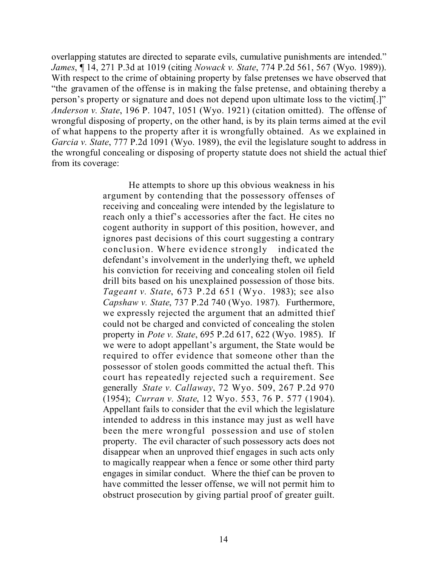overlapping statutes are directed to separate evils, cumulative punishments are intended." *James*, ¶ 14, 271 P.3d at 1019 (citing *Nowack v. State*, 774 P.2d 561, 567 (Wyo. 1989)). With respect to the crime of obtaining property by false pretenses we have observed that "the gravamen of the offense is in making the false pretense, and obtaining thereby a person's property or signature and does not depend upon ultimate loss to the victim[.]" *Anderson v. State*, 196 P. 1047, 1051 (Wyo. 1921) (citation omitted). The offense of wrongful disposing of property, on the other hand, is by its plain terms aimed at the evil of what happens to the property after it is wrongfully obtained. As we explained in *Garcia v. State*, 777 P.2d 1091 (Wyo. 1989), the evil the legislature sought to address in the wrongful concealing or disposing of property statute does not shield the actual thief from its coverage:

> He attempts to shore up this obvious weakness in his argument by contending that the possessory offenses of receiving and concealing were intended by the legislature to reach only a thief's accessories after the fact. He cites no cogent authority in support of this position, however, and ignores past decisions of this court suggesting a contrary conclusion. Where evidence strongly indicated the defendant's involvement in the underlying theft, we upheld his conviction for receiving and concealing stolen oil field drill bits based on his unexplained possession of those bits. *Tageant v. State*, 673 P.2d 651 (Wyo. 1983); see also *Capshaw v. State*, 737 P.2d 740 (Wyo. 1987). Furthermore, we expressly rejected the argument that an admitted thief could not be charged and convicted of concealing the stolen property in *Pote v. State*, 695 P.2d 617, 622 (Wyo. 1985). If we were to adopt appellant's argument, the State would be required to offer evidence that someone other than the possessor of stolen goods committed the actual theft. This court has repeatedly rejected such a requirement. See generally *State v. Callaway*, 72 Wyo. 509, 267 P.2d 970 (1954); *Curran v. State*, 12 Wyo. 553, 76 P. 577 (1904). Appellant fails to consider that the evil which the legislature intended to address in this instance may just as well have been the mere wrongful possession and use of stolen property. The evil character of such possessory acts does not disappear when an unproved thief engages in such acts only to magically reappear when a fence or some other third party engages in similar conduct. Where the thief can be proven to have committed the lesser offense, we will not permit him to obstruct prosecution by giving partial proof of greater guilt.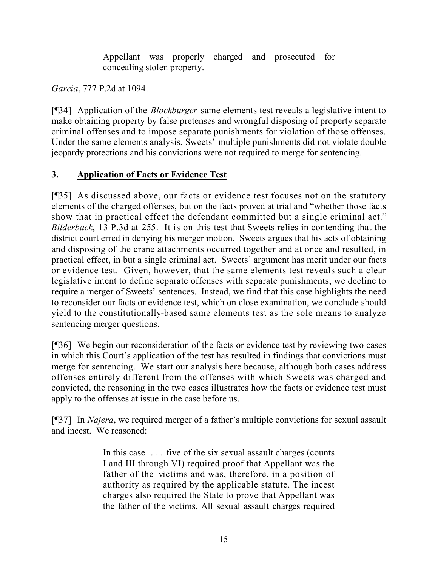Appellant was properly charged and prosecuted for concealing stolen property.

*Garcia*, 777 P.2d at 1094.

[¶34] Application of the *Blockburger* same elements test reveals a legislative intent to make obtaining property by false pretenses and wrongful disposing of property separate criminal offenses and to impose separate punishments for violation of those offenses. Under the same elements analysis, Sweets' multiple punishments did not violate double jeopardy protections and his convictions were not required to merge for sentencing.

# **3. Application of Facts or Evidence Test**

[¶35] As discussed above, our facts or evidence test focuses not on the statutory elements of the charged offenses, but on the facts proved at trial and "whether those facts show that in practical effect the defendant committed but a single criminal act." *Bilderback*, 13 P.3d at 255. It is on this test that Sweets relies in contending that the district court erred in denying his merger motion. Sweets argues that his acts of obtaining and disposing of the crane attachments occurred together and at once and resulted, in practical effect, in but a single criminal act. Sweets' argument has merit under our facts or evidence test. Given, however, that the same elements test reveals such a clear legislative intent to define separate offenses with separate punishments, we decline to require a merger of Sweets' sentences. Instead, we find that this case highlights the need to reconsider our facts or evidence test, which on close examination, we conclude should yield to the constitutionally-based same elements test as the sole means to analyze sentencing merger questions.

[¶36] We begin our reconsideration of the facts or evidence test by reviewing two cases in which this Court's application of the test has resulted in findings that convictions must merge for sentencing. We start our analysis here because, although both cases address offenses entirely different from the offenses with which Sweets was charged and convicted, the reasoning in the two cases illustrates how the facts or evidence test must apply to the offenses at issue in the case before us.

[¶37] In *Najera*, we required merger of a father's multiple convictions for sexual assault and incest. We reasoned:

> In this case . . . five of the six sexual assault charges (counts I and III through VI) required proof that Appellant was the father of the victims and was, therefore, in a position of authority as required by the applicable statute. The incest charges also required the State to prove that Appellant was the father of the victims. All sexual assault charges required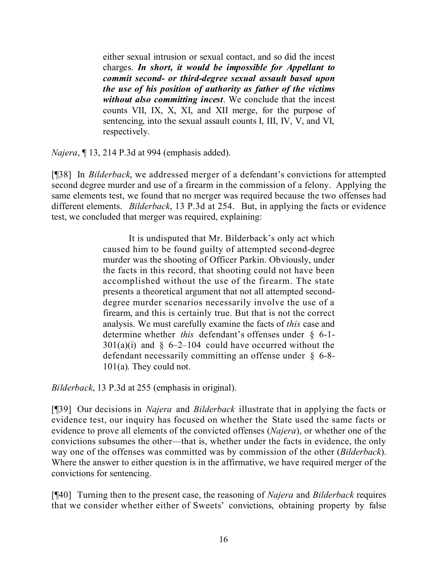either sexual intrusion or sexual contact, and so did the incest charges. *In short, it would be impossible for Appellant to commit second- or third-degree sexual assault based upon the use of his position of authority as father of the victims without also committing incest*. We conclude that the incest counts VII, IX, X, XI, and XII merge, for the purpose of sentencing, into the sexual assault counts I, III, IV, V, and VI, respectively.

*Najera*, ¶ 13, 214 P.3d at 994 (emphasis added).

[¶38] In *Bilderback*, we addressed merger of a defendant's convictions for attempted second degree murder and use of a firearm in the commission of a felony. Applying the same elements test, we found that no merger was required because the two offenses had different elements. *Bilderback*, 13 P.3d at 254. But, in applying the facts or evidence test, we concluded that merger was required, explaining:

> It is undisputed that Mr. Bilderback's only act which caused him to be found guilty of attempted second-degree murder was the shooting of Officer Parkin. Obviously, under the facts in this record, that shooting could not have been accomplished without the use of the firearm. The state presents a theoretical argument that not all attempted seconddegree murder scenarios necessarily involve the use of a firearm, and this is certainly true. But that is not the correct analysis. We must carefully examine the facts of *this* case and determine whether *this* defendant's offenses under § 6-1-  $301(a)(i)$  and § 6–2–104 could have occurred without the defendant necessarily committing an offense under § 6-8- 101(a). They could not.

*Bilderback*, 13 P.3d at 255 (emphasis in original).

[¶39] Our decisions in *Najera* and *Bilderback* illustrate that in applying the facts or evidence test, our inquiry has focused on whether the State used the same facts or evidence to prove all elements of the convicted offenses (*Najera*), or whether one of the convictions subsumes the other—that is, whether under the facts in evidence, the only way one of the offenses was committed was by commission of the other (*Bilderback*). Where the answer to either question is in the affirmative, we have required merger of the convictions for sentencing.

[¶40] Turning then to the present case, the reasoning of *Najera* and *Bilderback* requires that we consider whether either of Sweets' convictions, obtaining property by false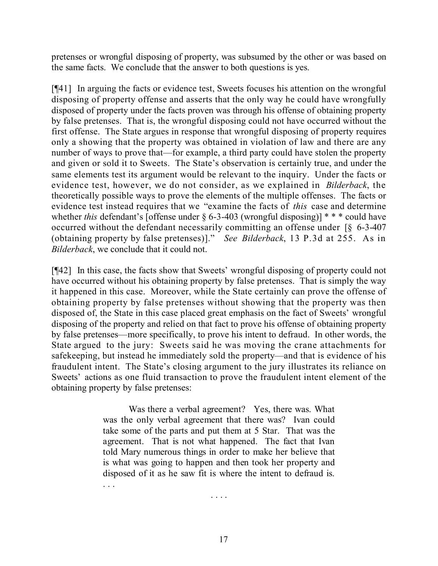pretenses or wrongful disposing of property, was subsumed by the other or was based on the same facts. We conclude that the answer to both questions is yes.

[¶41] In arguing the facts or evidence test, Sweets focuses his attention on the wrongful disposing of property offense and asserts that the only way he could have wrongfully disposed of property under the facts proven was through his offense of obtaining property by false pretenses. That is, the wrongful disposing could not have occurred without the first offense. The State argues in response that wrongful disposing of property requires only a showing that the property was obtained in violation of law and there are any number of ways to prove that—for example, a third party could have stolen the property and given or sold it to Sweets. The State's observation is certainly true, and under the same elements test its argument would be relevant to the inquiry. Under the facts or evidence test, however, we do not consider, as we explained in *Bilderback*, the theoretically possible ways to prove the elements of the multiple offenses. The facts or evidence test instead requires that we "examine the facts of *this* case and determine whether *this* defendant's [offense under § 6-3-403 (wrongful disposing)] \* \* \* could have occurred without the defendant necessarily committing an offense under [§ 6-3-407 (obtaining property by false pretenses)]." *See Bilderback*, 13 P.3d at 255. As in *Bilderback*, we conclude that it could not.

[¶42] In this case, the facts show that Sweets' wrongful disposing of property could not have occurred without his obtaining property by false pretenses. That is simply the way it happened in this case. Moreover, while the State certainly can prove the offense of obtaining property by false pretenses without showing that the property was then disposed of, the State in this case placed great emphasis on the fact of Sweets' wrongful disposing of the property and relied on that fact to prove his offense of obtaining property by false pretenses—more specifically, to prove his intent to defraud. In other words, the State argued to the jury: Sweets said he was moving the crane attachments for safekeeping, but instead he immediately sold the property—and that is evidence of his fraudulent intent. The State's closing argument to the jury illustrates its reliance on Sweets' actions as one fluid transaction to prove the fraudulent intent element of the obtaining property by false pretenses:

> Was there a verbal agreement? Yes, there was. What was the only verbal agreement that there was? Ivan could take some of the parts and put them at 5 Star. That was the agreement. That is not what happened. The fact that Ivan told Mary numerous things in order to make her believe that is what was going to happen and then took her property and disposed of it as he saw fit is where the intent to defraud is. . . .

> > . . . .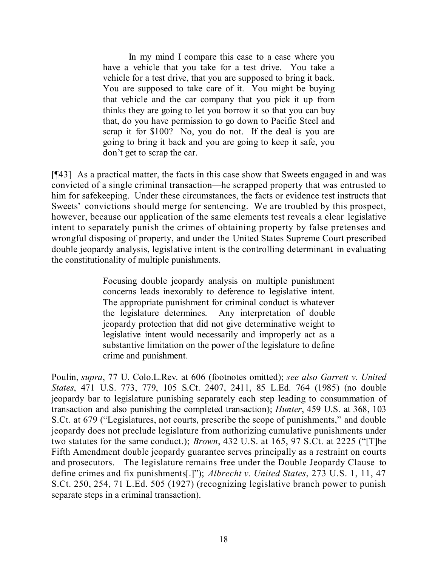In my mind I compare this case to a case where you have a vehicle that you take for a test drive. You take a vehicle for a test drive, that you are supposed to bring it back. You are supposed to take care of it. You might be buying that vehicle and the car company that you pick it up from thinks they are going to let you borrow it so that you can buy that, do you have permission to go down to Pacific Steel and scrap it for \$100? No, you do not. If the deal is you are going to bring it back and you are going to keep it safe, you don't get to scrap the car.

[¶43] As a practical matter, the facts in this case show that Sweets engaged in and was convicted of a single criminal transaction—he scrapped property that was entrusted to him for safekeeping. Under these circumstances, the facts or evidence test instructs that Sweets' convictions should merge for sentencing. We are troubled by this prospect, however, because our application of the same elements test reveals a clear legislative intent to separately punish the crimes of obtaining property by false pretenses and wrongful disposing of property, and under the United States Supreme Court prescribed double jeopardy analysis, legislative intent is the controlling determinant in evaluating the constitutionality of multiple punishments.

> Focusing double jeopardy analysis on multiple punishment concerns leads inexorably to deference to legislative intent. The appropriate punishment for criminal conduct is whatever the legislature determines. Any interpretation of double jeopardy protection that did not give determinative weight to legislative intent would necessarily and improperly act as a substantive limitation on the power of the legislature to define crime and punishment.

Poulin, *supra*, 77 U. Colo.L.Rev. at 606 (footnotes omitted); *see also Garrett v. United States*, 471 U.S. 773, 779, 105 S.Ct. 2407, 2411, 85 L.Ed. 764 (1985) (no double jeopardy bar to legislature punishing separately each step leading to consummation of transaction and also punishing the completed transaction); *Hunter*, 459 U.S. at 368, 103 S.Ct. at 679 ("Legislatures, not courts, prescribe the scope of punishments," and double jeopardy does not preclude legislature from authorizing cumulative punishments under two statutes for the same conduct.); *Brown*, 432 U.S. at 165, 97 S.Ct. at 2225 ("[T]he Fifth Amendment double jeopardy guarantee serves principally as a restraint on courts and prosecutors. The legislature remains free under the Double Jeopardy Clause to define crimes and fix punishments[.]"); *Albrecht v. United States*, 273 U.S. 1, 11, 47 S.Ct. 250, 254, 71 L.Ed. 505 (1927) (recognizing legislative branch power to punish separate steps in a criminal transaction).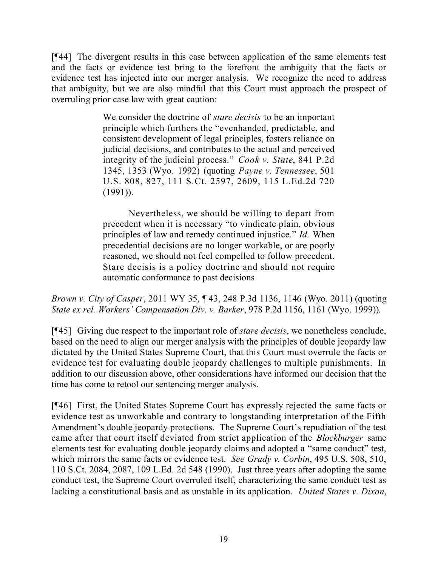[¶44] The divergent results in this case between application of the same elements test and the facts or evidence test bring to the forefront the ambiguity that the facts or evidence test has injected into our merger analysis. We recognize the need to address that ambiguity, but we are also mindful that this Court must approach the prospect of overruling prior case law with great caution:

> We consider the doctrine of *stare decisis* to be an important principle which furthers the "evenhanded, predictable, and consistent development of legal principles, fosters reliance on judicial decisions, and contributes to the actual and perceived integrity of the judicial process." *Cook v. State*, 841 P.2d 1345, 1353 (Wyo. 1992) (quoting *Payne v. Tennessee*, 501 U.S. 808, 827, 111 S.Ct. 2597, 2609, 115 L.Ed.2d 720 (1991)).

> Nevertheless, we should be willing to depart from precedent when it is necessary "to vindicate plain, obvious principles of law and remedy continued injustice." *Id.* When precedential decisions are no longer workable, or are poorly reasoned, we should not feel compelled to follow precedent. Stare decisis is a policy doctrine and should not require automatic conformance to past decisions

*Brown v. City of Casper*, 2011 WY 35, ¶ 43, 248 P.3d 1136, 1146 (Wyo. 2011) (quoting *State ex rel. Workers' Compensation Div. v. Barker*, 978 P.2d 1156, 1161 (Wyo. 1999)).

[¶45] Giving due respect to the important role of *stare decisis*, we nonetheless conclude, based on the need to align our merger analysis with the principles of double jeopardy law dictated by the United States Supreme Court, that this Court must overrule the facts or evidence test for evaluating double jeopardy challenges to multiple punishments. In addition to our discussion above, other considerations have informed our decision that the time has come to retool our sentencing merger analysis.

[¶46] First, the United States Supreme Court has expressly rejected the same facts or evidence test as unworkable and contrary to longstanding interpretation of the Fifth Amendment's double jeopardy protections. The Supreme Court's repudiation of the test came after that court itself deviated from strict application of the *Blockburger* same elements test for evaluating double jeopardy claims and adopted a "same conduct" test, which mirrors the same facts or evidence test. *See Grady v. Corbin*, 495 U.S. 508, 510, 110 S.Ct. 2084, 2087, 109 L.Ed. 2d 548 (1990). Just three years after adopting the same conduct test, the Supreme Court overruled itself, characterizing the same conduct test as lacking a constitutional basis and as unstable in its application. *United States v. Dixon*,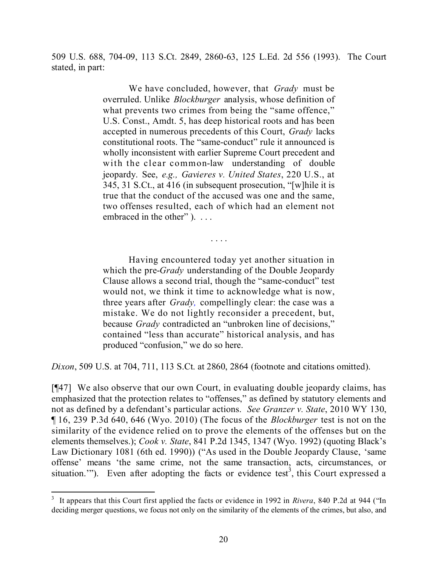509 U.S. 688, 704-09, 113 S.Ct. 2849, 2860-63, 125 L.Ed. 2d 556 (1993). The Court stated, in part:

> We have concluded, however, that *Grady* must be overruled. Unlike *Blockburger* analysis, whose definition of what prevents two crimes from being the "same offence," U.S. Const., Amdt. 5, has deep historical roots and has been accepted in numerous precedents of this Court, *Grady* lacks constitutional roots. The "same-conduct" rule it announced is wholly inconsistent with earlier Supreme Court precedent and with the clear common-law understanding of double jeopardy. See, *e.g., Gavieres v. United States*, 220 U.S., at 345, 31 S.Ct., at 416 (in subsequent prosecution, "[w]hile it is true that the conduct of the accused was one and the same, two offenses resulted, each of which had an element not embraced in the other" ). ...

> Having encountered today yet another situation in which the pre-*Grady* understanding of the Double Jeopardy Clause allows a second trial, though the "same-conduct" test would not, we think it time to acknowledge what is now, three years after *Grady,* compellingly clear: the case was a mistake. We do not lightly reconsider a precedent, but, because *Grady* contradicted an "unbroken line of decisions," contained "less than accurate" historical analysis, and has produced "confusion," we do so here.

. . . .

*Dixon*, 509 U.S. at 704, 711, 113 S.Ct. at 2860, 2864 (footnote and citations omitted).

[¶47] We also observe that our own Court, in evaluating double jeopardy claims, has emphasized that the protection relates to "offenses," as defined by statutory elements and not as defined by a defendant's particular actions. *See Granzer v. State*, 2010 WY 130, ¶ 16, 239 P.3d 640, 646 (Wyo. 2010) (The focus of the *Blockburger* test is not on the similarity of the evidence relied on to prove the elements of the offenses but on the elements themselves.); *Cook v. State*, 841 P.2d 1345, 1347 (Wyo. 1992) (quoting Black's Law Dictionary 1081 (6th ed. 1990)) ("As used in the Double Jeopardy Clause, 'same offense' means 'the same crime, not the same transaction, acts, circumstances, or situation."). Even after adopting the facts or evidence test<sup>3</sup>, this Court expressed a

 3 It appears that this Court first applied the facts or evidence in 1992 in *Rivera*, 840 P.2d at 944 ("In deciding merger questions, we focus not only on the similarity of the elements of the crimes, but also, and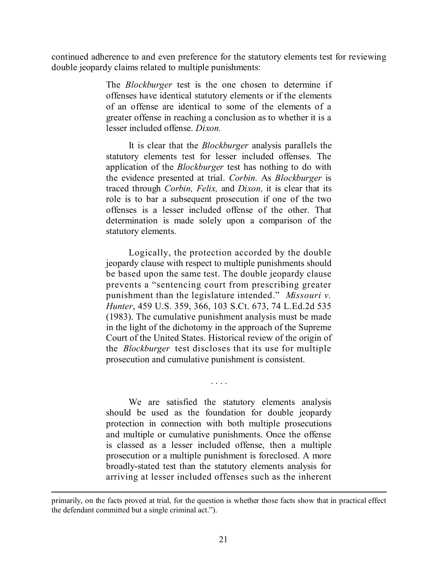continued adherence to and even preference for the statutory elements test for reviewing double jeopardy claims related to multiple punishments:

> The *Blockburger* test is the one chosen to determine if offenses have identical statutory elements or if the elements of an offense are identical to some of the elements of a greater offense in reaching a conclusion as to whether it is a lesser included offense. *Dixon.*

> It is clear that the *Blockburger* analysis parallels the statutory elements test for lesser included offenses. The application of the *Blockburger* test has nothing to do with the evidence presented at trial. *Corbin.* As *Blockburger* is traced through *Corbin, Felix,* and *Dixon,* it is clear that its role is to bar a subsequent prosecution if one of the two offenses is a lesser included offense of the other. That determination is made solely upon a comparison of the statutory elements.

> Logically, the protection accorded by the double jeopardy clause with respect to multiple punishments should be based upon the same test. The double jeopardy clause prevents a "sentencing court from prescribing greater punishment than the legislature intended." *Missouri v. Hunter*, 459 U.S. 359, 366, 103 S.Ct. 673, 74 L.Ed.2d 535 (1983). The cumulative punishment analysis must be made in the light of the dichotomy in the approach of the Supreme Court of the United States. Historical review of the origin of the *Blockburger* test discloses that its use for multiple prosecution and cumulative punishment is consistent.

> We are satisfied the statutory elements analysis should be used as the foundation for double jeopardy protection in connection with both multiple prosecutions and multiple or cumulative punishments. Once the offense is classed as a lesser included offense, then a multiple prosecution or a multiple punishment is foreclosed. A more broadly-stated test than the statutory elements analysis for arriving at lesser included offenses such as the inherent

. . . .

 $\overline{a}$ 

primarily, on the facts proved at trial, for the question is whether those facts show that in practical effect the defendant committed but a single criminal act.").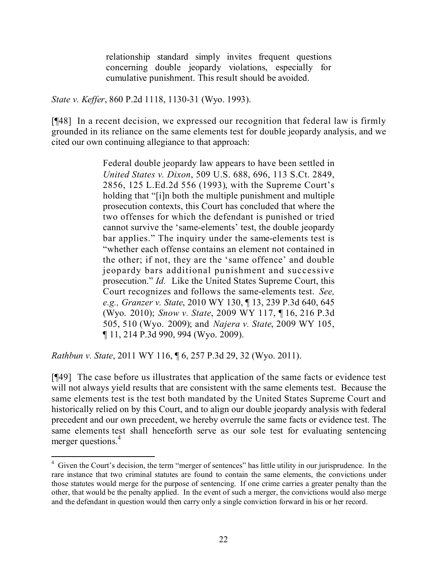relationship standard simply invites frequent questions concerning double jeopardy violations, especially for cumulative punishment. This result should be avoided.

*State v. Keffer*, 860 P.2d 1118, 1130-31 (Wyo. 1993).

[¶48] In a recent decision, we expressed our recognition that federal law is firmly grounded in its reliance on the same elements test for double jeopardy analysis, and we cited our own continuing allegiance to that approach:

> Federal double jeopardy law appears to have been settled in *United States v. Dixon*, 509 U.S. 688, 696, 113 S.Ct. 2849, 2856, 125 L.Ed.2d 556 (1993), with the Supreme Court's holding that "[i]n both the multiple punishment and multiple prosecution contexts, this Court has concluded that where the two offenses for which the defendant is punished or tried cannot survive the 'same-elements' test, the double jeopardy bar applies." The inquiry under the same-elements test is "whether each offense contains an element not contained in the other; if not, they are the 'same offence' and double jeopardy bars additional punishment and successive prosecution." *Id.* Like the United States Supreme Court, this Court recognizes and follows the same-elements test. *See, e.g., Granzer v. State*, 2010 WY 130, ¶ 13, 239 P.3d 640, 645 (Wyo. 2010); *Snow v. State*, 2009 WY 117, ¶ 16, 216 P.3d 505, 510 (Wyo. 2009); and *Najera v. State*, 2009 WY 105, ¶ 11, 214 P.3d 990, 994 (Wyo. 2009).

*Rathbun v. State*, 2011 WY 116, ¶ 6, 257 P.3d 29, 32 (Wyo. 2011).

[¶49] The case before us illustrates that application of the same facts or evidence test will not always yield results that are consistent with the same elements test. Because the same elements test is the test both mandated by the United States Supreme Court and historically relied on by this Court, and to align our double jeopardy analysis with federal precedent and our own precedent, we hereby overrule the same facts or evidence test. The same elements test shall henceforth serve as our sole test for evaluating sentencing merger questions.<sup>4</sup>

 $\overline{a}$ <sup>4</sup> Given the Court's decision, the term "merger of sentences" has little utility in our jurisprudence. In the rare instance that two criminal statutes are found to contain the same elements, the convictions under those statutes would merge for the purpose of sentencing. If one crime carries a greater penalty than the other, that would be the penalty applied. In the event of such a merger, the convictions would also merge and the defendant in question would then carry only a single conviction forward in his or her record.